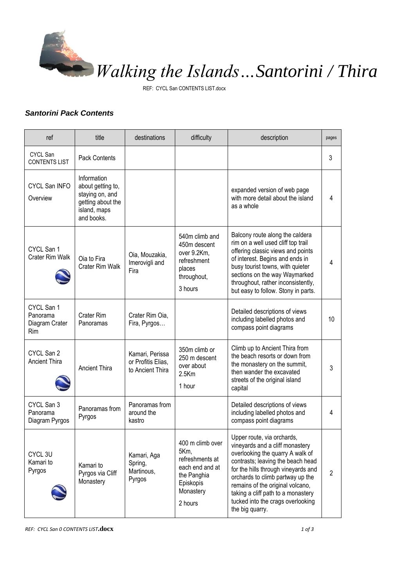

REF: CYCL San CONTENTS LIST.docx

## *Santorini Pack Contents*

| ref                                             | title                                                                                                  | destinations                                              | difficulty                                                                                                         | description                                                                                                                                                                                                                                                                                                                                         | pages |
|-------------------------------------------------|--------------------------------------------------------------------------------------------------------|-----------------------------------------------------------|--------------------------------------------------------------------------------------------------------------------|-----------------------------------------------------------------------------------------------------------------------------------------------------------------------------------------------------------------------------------------------------------------------------------------------------------------------------------------------------|-------|
| <b>CYCL San</b><br><b>CONTENTS LIST</b>         | <b>Pack Contents</b>                                                                                   |                                                           |                                                                                                                    |                                                                                                                                                                                                                                                                                                                                                     | 3     |
| CYCL San INFO<br>Overview                       | Information<br>about getting to,<br>staying on, and<br>getting about the<br>island, maps<br>and books. |                                                           |                                                                                                                    | expanded version of web page<br>with more detail about the island<br>as a whole                                                                                                                                                                                                                                                                     | 4     |
| CYCL San 1<br>Crater Rim Walk                   | Oia to Fira<br>Crater Rim Walk                                                                         | Oia, Mouzakia,<br>Imerovigli and<br>Fira                  | 540m climb and<br>450m descent<br>over 9.2Km,<br>refreshment<br>places<br>throughout,<br>3 hours                   | Balcony route along the caldera<br>rim on a well used cliff top trail<br>offering classic views and points<br>of interest. Begins and ends in<br>busy tourist towns, with quieter<br>sections on the way Waymarked<br>throughout, rather inconsistently,<br>but easy to follow. Stony in parts.                                                     | 4     |
| CYCL San 1<br>Panorama<br>Diagram Crater<br>Rim | Crater Rim<br>Panoramas                                                                                | Crater Rim Oia,<br>Fira, Pyrgos                           |                                                                                                                    | Detailed descriptions of views<br>including labelled photos and<br>compass point diagrams                                                                                                                                                                                                                                                           | 10    |
| CYCL San 2<br><b>Ancient Thira</b>              | <b>Ancient Thira</b>                                                                                   | Kamari, Perissa<br>or Profitis Elias,<br>to Ancient Thira | 350m climb or<br>250 m descent<br>over about<br>$2.5$ Km<br>1 hour                                                 | Climb up to Ancient Thira from<br>the beach resorts or down from<br>the monastery on the summit,<br>then wander the excavated<br>streets of the original island<br>capital                                                                                                                                                                          | 3     |
| CYCL San 3<br>Panorama<br>Diagram Pyrgos        | Panoramas from<br>Pyrgos                                                                               | Panoramas from<br>around the<br>kastro                    |                                                                                                                    | Detailed descriptions of views<br>including labelled photos and<br>compass point diagrams                                                                                                                                                                                                                                                           | 4     |
| CYCL 3U<br>Kamari to<br>Pyrgos                  | Kamari to<br>Pyrgos via Cliff<br>Monastery                                                             | Kamari, Aga<br>Spring,<br>Martinous,<br>Pyrgos            | 400 m climb over<br>5Km,<br>refreshments at<br>each end and at<br>the Panghia<br>Episkopis<br>Monastery<br>2 hours | Upper route, via orchards,<br>vineyards and a cliff monastery<br>overlooking the quarry A walk of<br>contrasts; leaving the beach head<br>for the hills through vineyards and<br>orchards to climb partway up the<br>remains of the original volcano,<br>taking a cliff path to a monastery<br>tucked into the crags overlooking<br>the big quarry. | 2     |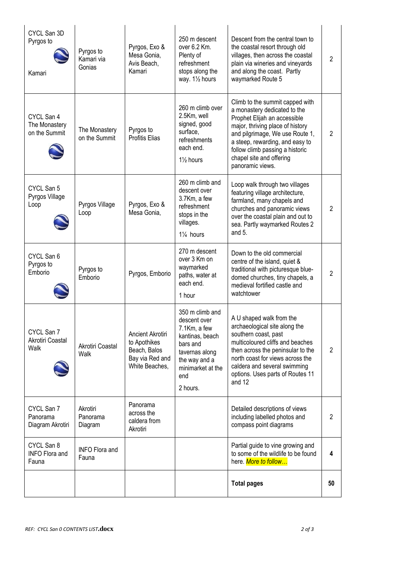|                                              |                                   |                                                                                       |                                                                                                                                                           | <b>Total pages</b>                                                                                                                                                                                                                                                                           | 50             |
|----------------------------------------------|-----------------------------------|---------------------------------------------------------------------------------------|-----------------------------------------------------------------------------------------------------------------------------------------------------------|----------------------------------------------------------------------------------------------------------------------------------------------------------------------------------------------------------------------------------------------------------------------------------------------|----------------|
| CYCL San 8<br><b>INFO Flora and</b><br>Fauna | <b>INFO Flora and</b><br>Fauna    |                                                                                       |                                                                                                                                                           | Partial guide to vine growing and<br>to some of the wildlife to be found<br>here. More to follow                                                                                                                                                                                             | 4              |
| CYCL San 7<br>Panorama<br>Diagram Akrotiri   | Akrotiri<br>Panorama<br>Diagram   | Panorama<br>across the<br>caldera from<br>Akrotiri                                    |                                                                                                                                                           | Detailed descriptions of views<br>including labelled photos and<br>compass point diagrams                                                                                                                                                                                                    | 2              |
| CYCL San 7<br>Akrotiri Coastal<br>Walk       | Akrotiri Coastal<br>Walk          | Ancient Akrotiri<br>to Apothikes<br>Beach, Balos<br>Bay via Red and<br>White Beaches, | 350 m climb and<br>descent over<br>7.1Km, a few<br>kantinas, beach<br>bars and<br>tavernas along<br>the way and a<br>minimarket at the<br>end<br>2 hours. | A U shaped walk from the<br>archaeological site along the<br>southern coast, past<br>multicoloured cliffs and beaches<br>then across the peninsular to the<br>north coast for views across the<br>caldera and several swimming<br>options. Uses parts of Routes 11<br>and 12                 | 2              |
| CYCL San 6<br>Pyrgos to<br>Emborio           | Pyrgos to<br>Emborio              | Pyrgos, Emborio                                                                       | 270 m descent<br>over 3 Km on<br>waymarked<br>paths, water at<br>each end.<br>1 hour                                                                      | Down to the old commercial<br>centre of the island, quiet &<br>traditional with picturesque blue-<br>domed churches, tiny chapels, a<br>medieval fortified castle and<br>watchtower                                                                                                          | $\overline{2}$ |
| CYCL San 5<br>Pyrgos Village<br>Loop         | Pyrgos Village<br>Loop            | Pyrgos, Exo &<br>Mesa Gonia,                                                          | 260 m climb and<br>descent over<br>3.7Km, a few<br>refreshment<br>stops in the<br>villages.<br>11/ <sub>4</sub> hours                                     | Loop walk through two villages<br>featuring village architecture,<br>farmland, many chapels and<br>churches and panoramic views<br>over the coastal plain and out to<br>sea. Partly waymarked Routes 2<br>and $5.$                                                                           | $\overline{2}$ |
| CYCL San 4<br>The Monastery<br>on the Summit | The Monastery<br>on the Summit    | Pyrgos to<br><b>Profitis Elias</b>                                                    | 260 m climb over<br>2.5Km, well<br>signed, good<br>surface,<br>refreshments<br>each end.<br>11/ <sub>2</sub> hours                                        | Climb to the summit capped with<br>a monastery dedicated to the<br>Prophet Elijah an accessible<br>major, thriving place of history<br>and pilgrimage, We use Route 1,<br>a steep, rewarding, and easy to<br>follow climb passing a historic<br>chapel site and offering<br>panoramic views. | $\overline{2}$ |
| CYCL San 3D<br>Pyrgos to<br>Kamari           | Pyrgos to<br>Kamari via<br>Gonias | Pyrgos, Exo &<br>Mesa Gonia,<br>Avis Beach,<br>Kamari                                 | 250 m descent<br>over 6.2 Km.<br>Plenty of<br>refreshment<br>stops along the<br>way. 11/2 hours                                                           | Descent from the central town to<br>the coastal resort through old<br>villages, then across the coastal<br>plain via wineries and vineyards<br>and along the coast. Partly<br>waymarked Route 5                                                                                              | $\overline{2}$ |